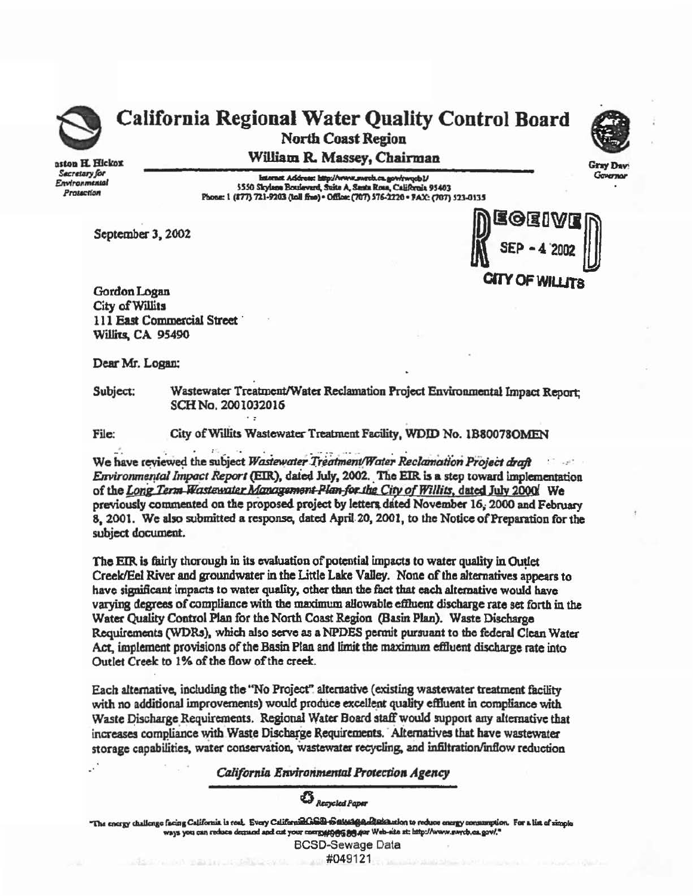

## ~ California Regional Water Quality Control Board \ill North Coast Region

aston H. Hickox Sacretary for Environmensal Pralaction

William R. Massey, Chairman

1550 Externat Address: http://www.merch.ca.gov/rwqcb1/<br>5550 Skylses Boulevard, Suite A, Senta Rosa, California 95403<br>Phone: 1 (877) 721-9203 (toll fine) - Office: (707) 576-2220 - FAX: (707) 523-0135

September 3, 2002



Governor

Gordon Logan City of Willits 111 East Commercial Street · Willits. CA 95490

Dear Mr. Logan:

Subject: Wastewater Treatment/Water Reclamation Project Environmental Impact Report; SCH No. 2001032016

File: City of Willits Wastewater Treatment Facility, WDID No. 1B80078OMEN

We have reviewed the subject *Wastewater Treatment/Water Reclamation Project draft* Environmental Impact Report (EIR), dated July, 2002. The EIR is a step toward implementation of the Long Term *Wastewater Management Plan for the City of Willits*, dated July 2000 We previously commented on the proposed project by letters dated November 16, 2000 and February 8, 2001. We also submitted a response. dated April.20, 2001, to the Notice of Preparation for the subject document.

The EIR is fairly thorough in its evaluation of potential impacts to water quality in Outlet Creek/Eel River and groundwater in the Little Lake Valley. None of the alternatives appears to have significant impacts to water quality. other than the thct that each alternative would have varying degrees of compliance with the maximum allowablo eftlueut discharge rate set fonh in the Water Quality Control Plan for the North Coast Region (Basin Piao). Waste Discharge Requirements (WDRs), which also serve as a NPDES permit pursuant to the federal Clean Water Act. implement provisions of the Basin Plan and limit the maximum eflluent discharge rate into Outlet Creek to 1% of the flow of the creek.

Each alternative, including the "No Project" alternative (existing wastewater treatment facility with no additional improvements) would produce excellent quality effluent in compliance with Waste Discharge Requirements. Regional Water Board staff would support any alternative that increases compliance with Waste Discharge Requirements. Alternatives that have wastewater storage capabilities, water conservation, wastewater recycling, and infiltration/inflow reduction

*California Environmental Protection Agency* 

 $\mathfrak{B}_{\scriptscriptstyle{Reopcled~Paper}}$ 

"The energy challenge facing California is real. Every Californial GSB-1Satter 1•8'eting California is real. Every California Gallen Caper<br>ways you can reduce demand and cut your mergy to the side at: http://www.swr.b.ca.gov/."

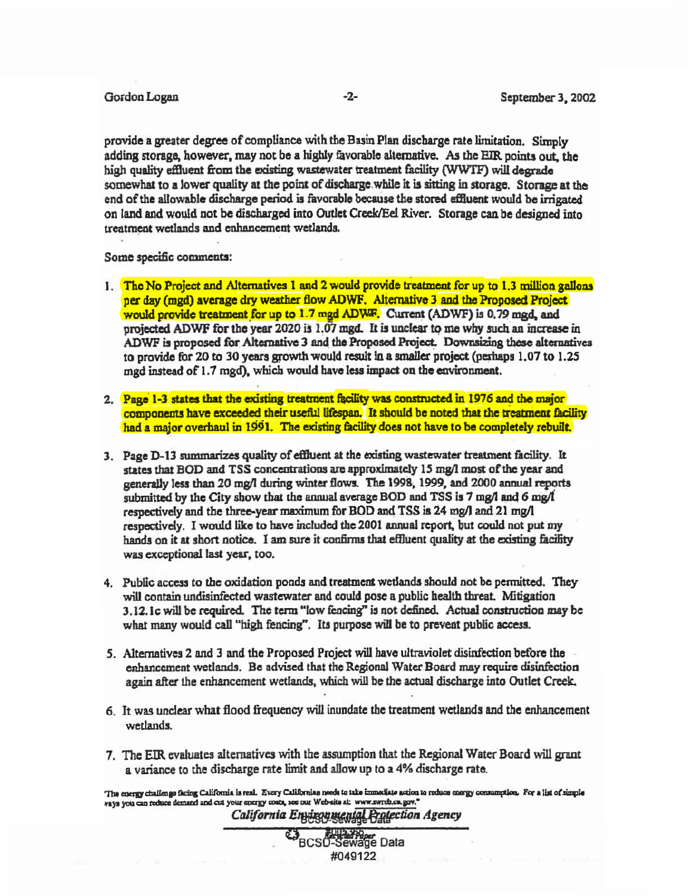pravjde a greater degree of compliance with the Buin Plan discharge rate limitation. Simply adding storage. however. may not be a highly favorable alternative. As the EIR. points out. the high quality effluent from the existing wastewater treatment facility (WWTF) will degrade somewhat to a lower quality at the point of discharge while it is sitting in storage. Storage at the end of the allowable discharge period is favorable because the stored effluent would be irrigated on land and would not be discharged into Outlet Creek/Eel River. Storage can be designed into treatment wetlands and enhancement wetlands.

Some specific comments:

- 1. The No Project and Alternatives 1 and 2 would provide treatment for up to 1.3 million gallons per day (mgd) average dry weather flow ADWF. Alternative 3 and the Proposed Project would provide treatment for up to 1.7 mgd ADWF. Current (ADWF) is 0.79 mgd. and projected ADWF for the year  $2020$  is  $1.07$  mgd. It is unclear to me why such an increase in ADWF is proposed for Alternative 3 and the Proposed Project. Downsizing these alternatives to provide for 20 to 30 years growth would result in a smaller project (perhaps 1.07 to 1.25 mgd instead of 1.7 mgd), which would have less impact on the environment.
- 2. Page 1-3 states that the existing treatment facility was constructed in 1976 and the major components have exceeded their useful lifespan. It should be noted that the treatment facility had a major overhaul in 1991. The existing facility does not have to be completely rebuilt.
- 3. Page D-13 summarizes quality of effluent at the existing wastewater treatment facility. It states that BOD and TSS concentrations are approximately 15 mg/l most of the year and generally less than *20* mg/I during winter flows. The 1998, 1999." and 2000 annual reports submitted by the City show that the annual average BOD and TSS is  $7 \text{ mg/l}$  and  $6 \text{ mg/l}$ respedively and the three-year maximum for BOD and TSS is 24 mg/I and 21 mg/I respectively. I would like to have included the 2001 annual report, but could not put my hands on it at short notice. I am sure it confirms that effluent quality at the existing facility was exceptional last year, too.
- 4. Public access to the oxidation ponds and treatment wetlands should not be permitted. They will contain undisinfected wastewater and could pose a public health threat. Mitigation 3.12. Ic will be required. The term "low fencing" is not defined. Actual construction may be what many would call "high fencing". Its purpose will be to prevent public access.
- 5. Alternatives 2 and 3 and the Proposed Project will have ultraviolet disinfection before the enhancement wetlands. Be advised that the Regional Water Board may require disinfection agaia after the enhancement wetlands, which will be the actual discharge into Outlet Creek.
- 6. It was unclear what flood frequency will inundate the treatment wetlands and the enhancement wetlands.
- *1.* The EIR evaluates alternatives with the assumption that the Regional Water Board will grant a variance to the discharge rate limit and allow up to a 4% discharge rate.

The energy challenge facing California is real. Every Californian needs to take immediate action to reduce energy consumption. For a list of simple ways you can reduce demand and cut your energy costs, see our Web-sits at: www.swrcb.ca.gov.

California Environmental Pratection Agency